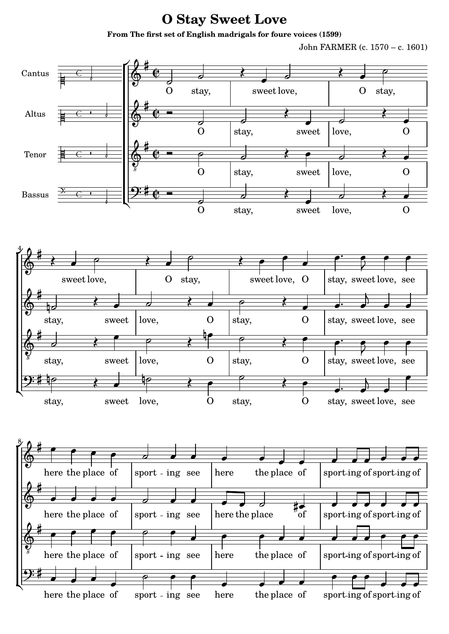## **O Stay Sweet Love**

**From The first set of English madrigals for foure voices (1599)**

John FARMER (c. 1570 – c. 1601)

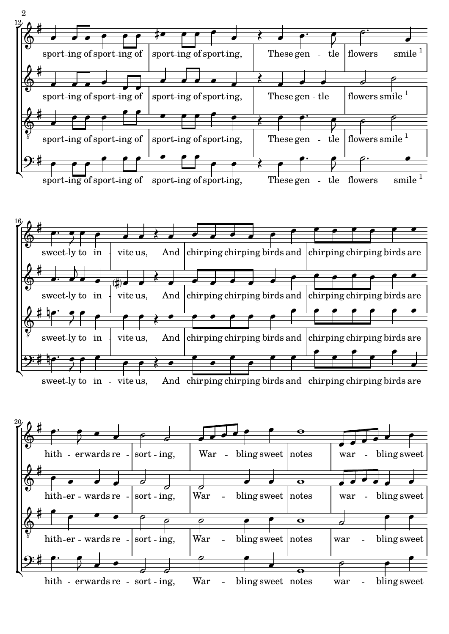



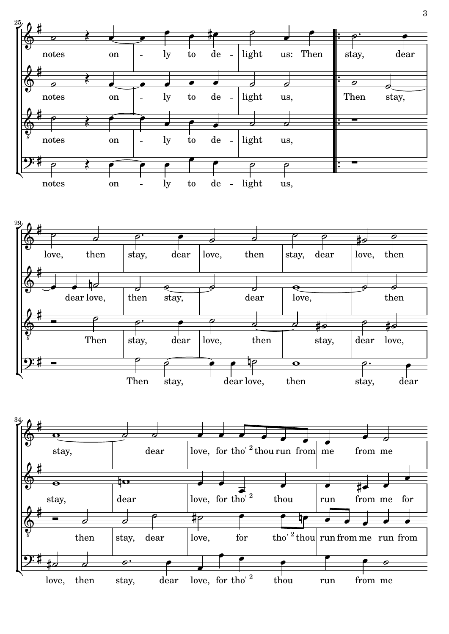

3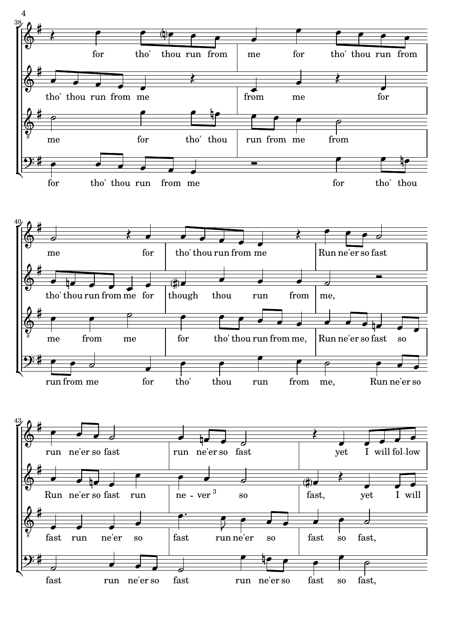